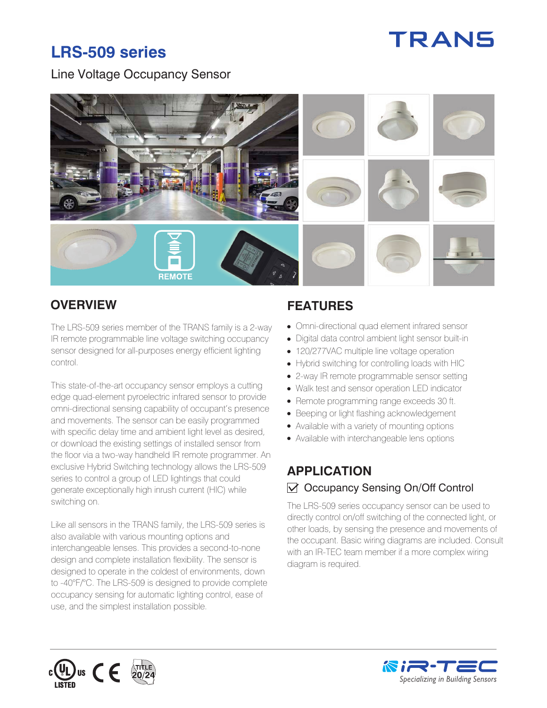# TRANS

## **LRS-509 series**

#### Line Voltage Occupancy Sensor



The LRS-509 series member of the TRANS family is a 2-way IR remote programmable line voltage switching occupancy sensor designed for all-purposes energy efficient lighting control.

This state-of-the-art occupancy sensor employs a cutting edge quad-element pyroelectric infrared sensor to provide omni-directional sensing capability of occupant's presence and movements. The sensor can be easily programmed with specific delay time and ambient light level as desired, or download the existing settings of installed sensor from the floor via a two-way handheld IR remote programmer. An exclusive Hybrid Switching technology allows the LRS-509 series to control a group of LED lightings that could generate exceptionally high inrush current (HIC) while switching on.

Like all sensors in the TRANS family, the LRS-509 series is also available with various mounting options and interchangeable lenses. This provides a second-to-none design and complete installation flexibility. The sensor is designed to operate in the coldest of environments, down to -40°F/°C. The LRS-509 is designed to provide complete occupancy sensing for automatic lighting control, ease of use, and the simplest installation possible.

### **OVERVIEW FEATURES**

- Omni-directional quad element infrared sensor
- Digital data control ambient light sensor built-in
- 120/277VAC multiple line voltage operation
- Hybrid switching for controlling loads with HIC
- 2-way IR remote programmable sensor setting
- Walk test and sensor operation LED indicator
- Remote programming range exceeds 30 ft.
- Beeping or light flashing acknowledgement
- Available with a variety of mounting options
- Available with interchangeable lens options

#### **APPLICATION**   $\sqrt{ }$  Occupancy Sensing On/Off Control

The LRS-509 series occupancy sensor can be used to directly control on/off switching of the connected light, or other loads, by sensing the presence and movements of the occupant. Basic wiring diagrams are included. Consult with an IR-TEC team member if a more complex wiring diagram is required.